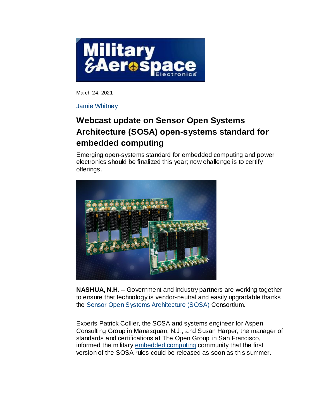

March 24, 2021

[Jamie Whitney](https://www.militaryaerospace.com/contact-us/contact/16728552/jamie-whitney)

## **Webcast update on Sensor Open Systems Architecture (SOSA) open-systems standard for embedded computing**

Emerging open-systems standard for embedded computing and power electronics should be finalized this year; now challenge is to certify offerings.



**NASHUA, N.H. –** Government and industry partners are working together to ensure that technology is vendor-neutral and easily upgradable thanks the [Sensor Open Systems Architecture \(SOSA\)](https://www.militaryaerospace.com/computers/article/14181451/sosa-industry-standard-draft) Consortium.

Experts Patrick Collier, the SOSA and systems engineer for Aspen Consulting Group in Manasquan, N.J., and Susan Harper, the manager of standards and certifications at The Open Group in San Francisco, informed the military [embedded computing](https://www.militaryaerospace.com/computers) community that the first version of the SOSA rules could be released as soon as this summer.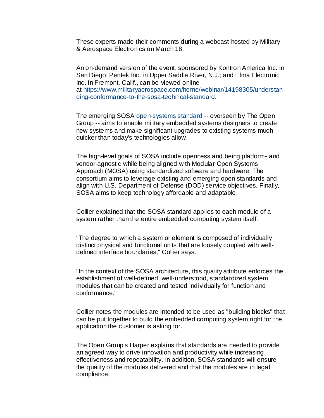These experts made their comments during a webcast hosted by Military & Aerospace Electronics on March 18.

An on-demand version of the event, sponsored by Kontron America Inc. in San Diego; Pentek Inc. in Upper Saddle River, N.J.; and Elma Electronic Inc. in Fremont, Calif., can be viewed online at [https://www.militaryaerospace.com/home/webinar/14198305/understan](https://www.militaryaerospace.com/home/webinar/14198305/understanding-conformance-to-the-sosa-technical-standard) [ding-conformance-to-the-sosa-technical-standard.](https://www.militaryaerospace.com/home/webinar/14198305/understanding-conformance-to-the-sosa-technical-standard)

The emerging SOSA [open-systems standard](https://www.militaryaerospace.com/computers/article/16722036/opensystems-standards-like-sosa-could-promote-genuine-embedded-computing-interoperability) -- overseen by The Open Group -- aims to enable military embedded systems designers to create new systems and make significant upgrades to existing systems much quicker than today's technologies allow.

The high-level goals of SOSA include openness and being platform- and vendor-agnostic while being aligned with Modular Open Systems Approach (MOSA) using standardized software and hardware. The consortium aims to leverage existing and emerging open standards and align with U.S. Department of Defense (DOD) service objectives. Finally, SOSA aims to keep technology affordable and adaptable.

Collier explained that the SOSA standard applies to each module of a system rather than the entire embedded computing system itself.

"The degree to which a system or element is composed of individually distinct physical and functional units that are loosely coupled with welldefined interface boundaries," Collier says.

"In the context of the SOSA architecture, this quality attribute enforces the establishment of well-defined, well-understood, standardized system modules that can be created and tested individually for function and conformance."

Collier notes the modules are intended to be used as "building blocks" that can be put together to build the embedded computing system right for the application the customer is asking for.

The Open Group's Harper explains that standards are needed to provide an agreed way to drive innovation and productivity while increasing effectiveness and repeatability. In addition, SOSA standards will ensure the quality of the modules delivered and that the modules are in legal compliance.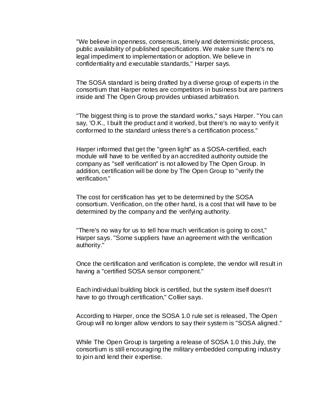"We believe in openness, consensus, timely and deterministic process, public availability of published specifications. We make sure there's no legal impediment to implementation or adoption. We believe in confidentiality and executable standards," Harper says.

The SOSA standard is being drafted by a diverse group of experts in the consortium that Harper notes are competitors in business but are partners inside and The Open Group provides unbiased arbitration.

"The biggest thing is to prove the standard works," says Harper. "You can say, 'O.K., I built the product and it worked, but there's no way to verify it conformed to the standard unless there's a certification process."

Harper informed that get the "green light" as a SOSA-certified, each module will have to be verified by an accredited authority outside the company as "self verification" is not allowed by The Open Group. In addition, certification will be done by The Open Group to "verify the verification."

The cost for certification has yet to be determined by the SOSA consortium. Verification, on the other hand, is a cost that will have to be determined by the company and the verifying authority.

"There's no way for us to tell how much verification is going to cost," Harper says. "Some suppliers have an agreement with the verification authority."

Once the certification and verification is complete, the vendor will result in having a "certified SOSA sensor component."

Each individual building block is certified, but the system itself doesn't have to go through certification," Collier says.

According to Harper, once the SOSA 1.0 rule set is released, The Open Group will no longer allow vendors to say their system is "SOSA aligned."

While The Open Group is targeting a release of SOSA 1.0 this July, the consortium is still encouraging the military embedded computing industry to join and lend their expertise.